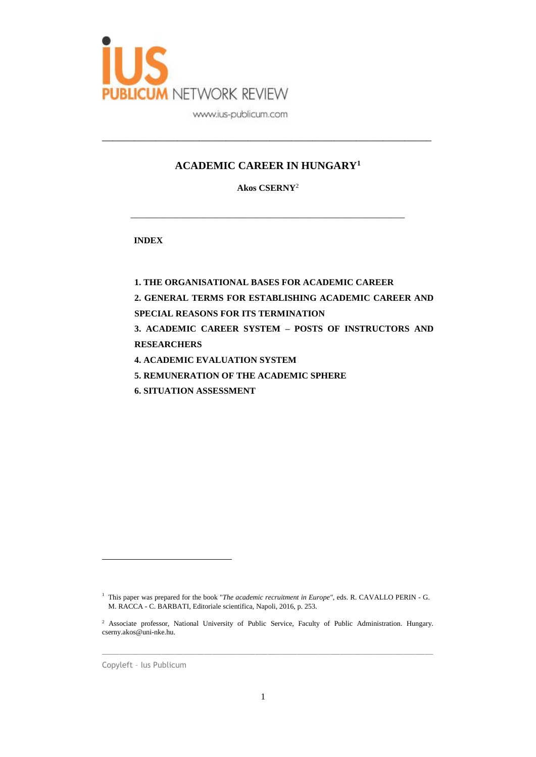

# **ACADEMIC CAREER IN HUNGARY<sup>1</sup>**

\_\_\_\_\_\_\_\_\_\_\_\_\_\_\_\_\_\_\_\_\_\_\_\_\_\_\_\_\_\_\_\_\_\_\_\_\_\_\_\_\_\_\_\_\_\_\_\_\_\_\_\_\_\_\_\_\_\_\_\_\_

**Akos CSERNY**<sup>2</sup>

\_\_\_\_\_\_\_\_\_\_\_\_\_\_\_\_\_\_\_\_\_\_\_\_\_\_\_\_\_\_\_\_\_\_\_\_\_\_\_\_\_\_\_\_\_\_\_\_\_\_\_\_\_\_\_\_\_\_\_\_\_

**INDEX**

**1. THE ORGANISATIONAL BASES FOR ACADEMIC CAREER**

**2. GENERAL TERMS FOR ESTABLISHING ACADEMIC CAREER AND** 

**SPECIAL REASONS FOR ITS TERMINATION**

**3. ACADEMIC CAREER SYSTEM – POSTS OF INSTRUCTORS AND RESEARCHERS**

- **4. ACADEMIC EVALUATION SYSTEM**
- **5. REMUNERATION OF THE ACADEMIC SPHERE**
- **6. SITUATION ASSESSMENT**

 $\_$  ,  $\_$  ,  $\_$  ,  $\_$  ,  $\_$  ,  $\_$  ,  $\_$  ,  $\_$  ,  $\_$  ,  $\_$  ,  $\_$  ,  $\_$  ,  $\_$  ,  $\_$  ,  $\_$  ,  $\_$  ,  $\_$  ,  $\_$  ,  $\_$  ,  $\_$  ,  $\_$  ,  $\_$  ,  $\_$  ,  $\_$  ,  $\_$  ,  $\_$  ,  $\_$  ,  $\_$  ,  $\_$  ,  $\_$  ,  $\_$  ,  $\_$  ,  $\_$  ,  $\_$  ,  $\_$  ,  $\_$  ,  $\_$  ,

Copyleft – Ius Publicum

 $\overline{a}$ 

<sup>&</sup>lt;sup>1</sup> This paper was prepared for the book "The academic recruitment in Europe", eds. R. CAVALLO PERIN - G. M. RACCA - C. BARBATI, Editoriale scientifica, Napoli, 2016, p. 253.

<sup>&</sup>lt;sup>2</sup> Associate professor, National University of Public Service, Faculty of Public Administration. Hungary. cserny.akos@uni-nke.hu.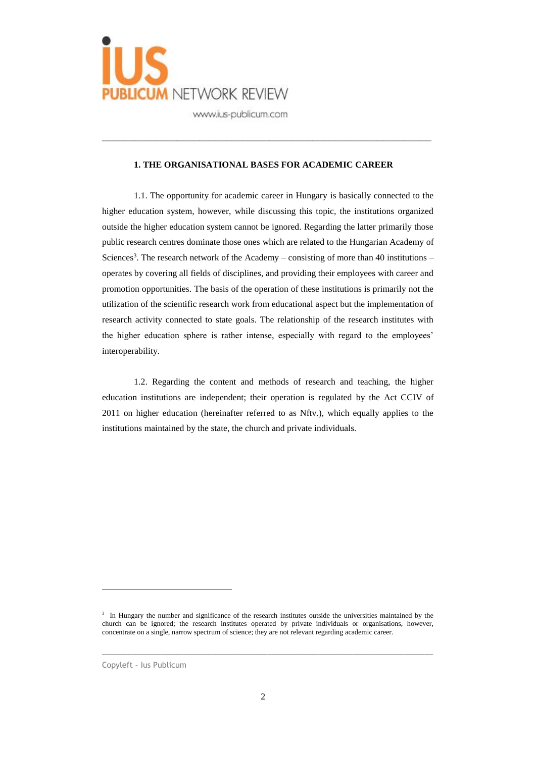

#### **1. THE ORGANISATIONAL BASES FOR ACADEMIC CAREER**

\_\_\_\_\_\_\_\_\_\_\_\_\_\_\_\_\_\_\_\_\_\_\_\_\_\_\_\_\_\_\_\_\_\_\_\_\_\_\_\_\_\_\_\_\_\_\_\_\_\_\_\_\_\_\_\_\_\_\_\_\_

1.1. The opportunity for academic career in Hungary is basically connected to the higher education system, however, while discussing this topic, the institutions organized outside the higher education system cannot be ignored. Regarding the latter primarily those public research centres dominate those ones which are related to the Hungarian Academy of Sciences<sup>3</sup>. The research network of the Academy – consisting of more than 40 institutions – operates by covering all fields of disciplines, and providing their employees with career and promotion opportunities. The basis of the operation of these institutions is primarily not the utilization of the scientific research work from educational aspect but the implementation of research activity connected to state goals. The relationship of the research institutes with the higher education sphere is rather intense, especially with regard to the employees' interoperability.

1.2. Regarding the content and methods of research and teaching, the higher education institutions are independent; their operation is regulated by the Act CCIV of 2011 on higher education (hereinafter referred to as Nftv.), which equally applies to the institutions maintained by the state, the church and private individuals.

 $\_$  ,  $\_$  ,  $\_$  ,  $\_$  ,  $\_$  ,  $\_$  ,  $\_$  ,  $\_$  ,  $\_$  ,  $\_$  ,  $\_$  ,  $\_$  ,  $\_$  ,  $\_$  ,  $\_$  ,  $\_$  ,  $\_$  ,  $\_$  ,  $\_$  ,  $\_$  ,  $\_$  ,  $\_$  ,  $\_$  ,  $\_$  ,  $\_$  ,  $\_$  ,  $\_$  ,  $\_$  ,  $\_$  ,  $\_$  ,  $\_$  ,  $\_$  ,  $\_$  ,  $\_$  ,  $\_$  ,  $\_$  ,  $\_$  ,

 $\overline{a}$ 

<sup>&</sup>lt;sup>3</sup> In Hungary the number and significance of the research institutes outside the universities maintained by the church can be ignored; the research institutes operated by private individuals or organisations, however, concentrate on a single, narrow spectrum of science; they are not relevant regarding academic career.

Copyleft – Ius Publicum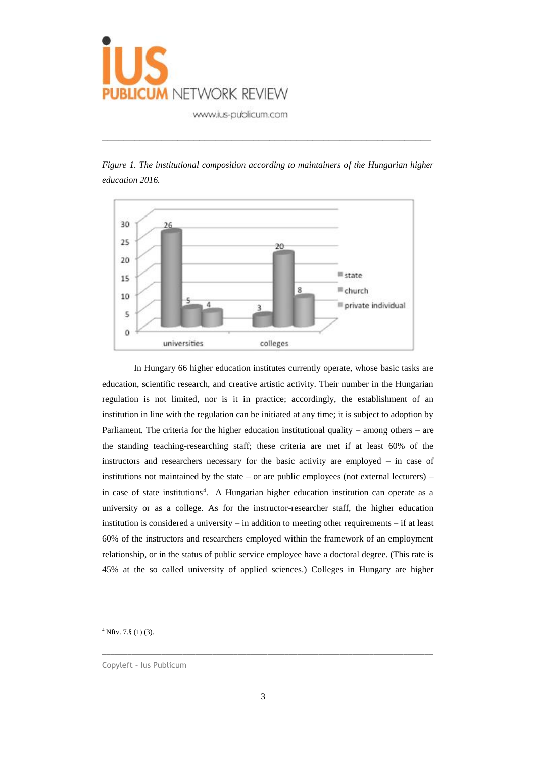

*Figure 1. The institutional composition according to maintainers of the Hungarian higher education 2016.*

\_\_\_\_\_\_\_\_\_\_\_\_\_\_\_\_\_\_\_\_\_\_\_\_\_\_\_\_\_\_\_\_\_\_\_\_\_\_\_\_\_\_\_\_\_\_\_\_\_\_\_\_\_\_\_\_\_\_\_\_\_



In Hungary 66 higher education institutes currently operate, whose basic tasks are education, scientific research, and creative artistic activity. Their number in the Hungarian regulation is not limited, nor is it in practice; accordingly, the establishment of an institution in line with the regulation can be initiated at any time; it is subject to adoption by Parliament. The criteria for the higher education institutional quality – among others – are the standing teaching-researching staff; these criteria are met if at least 60% of the instructors and researchers necessary for the basic activity are employed – in case of institutions not maintained by the state – or are public employees (not external lecturers) – in case of state institutions<sup>4</sup>. A Hungarian higher education institution can operate as a university or as a college. As for the instructor-researcher staff, the higher education institution is considered a university – in addition to meeting other requirements – if at least 60% of the instructors and researchers employed within the framework of an employment relationship, or in the status of public service employee have a doctoral degree. (This rate is 45% at the so called university of applied sciences.) Colleges in Hungary are higher

 $4$  Nftv. 7. $\S$  (1) (3).

 $\overline{a}$ 

Copyleft – Ius Publicum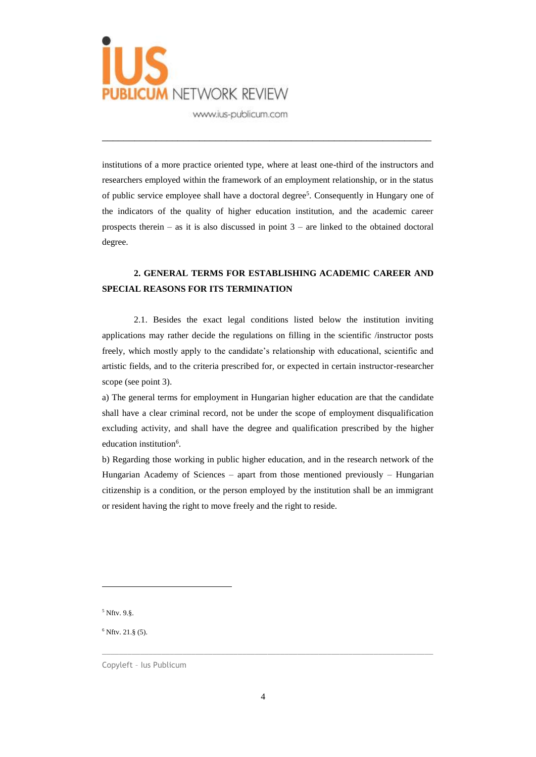

institutions of a more practice oriented type, where at least one-third of the instructors and researchers employed within the framework of an employment relationship, or in the status of public service employee shall have a doctoral degree<sup>5</sup>. Consequently in Hungary one of the indicators of the quality of higher education institution, and the academic career prospects therein – as it is also discussed in point  $3$  – are linked to the obtained doctoral degree.

\_\_\_\_\_\_\_\_\_\_\_\_\_\_\_\_\_\_\_\_\_\_\_\_\_\_\_\_\_\_\_\_\_\_\_\_\_\_\_\_\_\_\_\_\_\_\_\_\_\_\_\_\_\_\_\_\_\_\_\_\_

# **2. GENERAL TERMS FOR ESTABLISHING ACADEMIC CAREER AND SPECIAL REASONS FOR ITS TERMINATION**

2.1. Besides the exact legal conditions listed below the institution inviting applications may rather decide the regulations on filling in the scientific /instructor posts freely, which mostly apply to the candidate's relationship with educational, scientific and artistic fields, and to the criteria prescribed for, or expected in certain instructor-researcher scope (see point 3).

a) The general terms for employment in Hungarian higher education are that the candidate shall have a clear criminal record, not be under the scope of employment disqualification excluding activity, and shall have the degree and qualification prescribed by the higher education institution<sup>6</sup>.

b) Regarding those working in public higher education, and in the research network of the Hungarian Academy of Sciences – apart from those mentioned previously – Hungarian citizenship is a condition, or the person employed by the institution shall be an immigrant or resident having the right to move freely and the right to reside.

<sup>5</sup> Nftv. 9.§.

 $\overline{a}$ 

 $6$  Nftv. 21. $\S$  (5).

Copyleft – Ius Publicum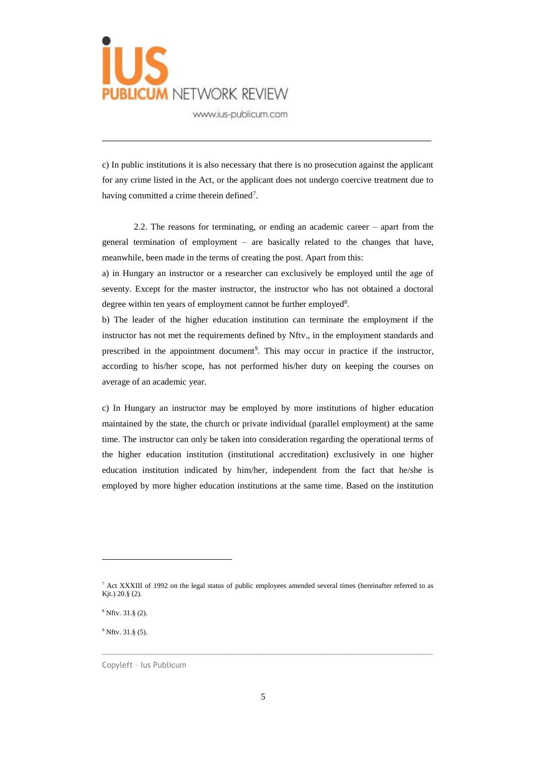

c) In public institutions it is also necessary that there is no prosecution against the applicant for any crime listed in the Act, or the applicant does not undergo coercive treatment due to having committed a crime therein defined<sup>7</sup>.

\_\_\_\_\_\_\_\_\_\_\_\_\_\_\_\_\_\_\_\_\_\_\_\_\_\_\_\_\_\_\_\_\_\_\_\_\_\_\_\_\_\_\_\_\_\_\_\_\_\_\_\_\_\_\_\_\_\_\_\_\_

2.2. The reasons for terminating, or ending an academic career – apart from the general termination of employment – are basically related to the changes that have, meanwhile, been made in the terms of creating the post. Apart from this:

a) in Hungary an instructor or a researcher can exclusively be employed until the age of seventy. Except for the master instructor, the instructor who has not obtained a doctoral degree within ten years of employment cannot be further employed<sup>8</sup>.

b) The leader of the higher education institution can terminate the employment if the instructor has not met the requirements defined by Nftv., in the employment standards and prescribed in the appointment document<sup>9</sup>. This may occur in practice if the instructor, according to his/her scope, has not performed his/her duty on keeping the courses on average of an academic year.

c) In Hungary an instructor may be employed by more institutions of higher education maintained by the state, the church or private individual (parallel employment) at the same time. The instructor can only be taken into consideration regarding the operational terms of the higher education institution (institutional accreditation) exclusively in one higher education institution indicated by him/her, independent from the fact that he/she is employed by more higher education institutions at the same time. Based on the institution

 $\_$  ,  $\_$  ,  $\_$  ,  $\_$  ,  $\_$  ,  $\_$  ,  $\_$  ,  $\_$  ,  $\_$  ,  $\_$  ,  $\_$  ,  $\_$  ,  $\_$  ,  $\_$  ,  $\_$  ,  $\_$  ,  $\_$  ,  $\_$  ,  $\_$  ,  $\_$  ,  $\_$  ,  $\_$  ,  $\_$  ,  $\_$  ,  $\_$  ,  $\_$  ,  $\_$  ,  $\_$  ,  $\_$  ,  $\_$  ,  $\_$  ,  $\_$  ,  $\_$  ,  $\_$  ,  $\_$  ,  $\_$  ,  $\_$  ,

 $\overline{a}$ 

<sup>7</sup> Act XXXIII of 1992 on the legal status of public employees amended several times (hereinafter referred to as Kjt.) 20.§ (2).

<sup>8</sup> Nftv. 31.§ (2).

 $9$  Nftv. 31. $\S$  (5).

Copyleft – Ius Publicum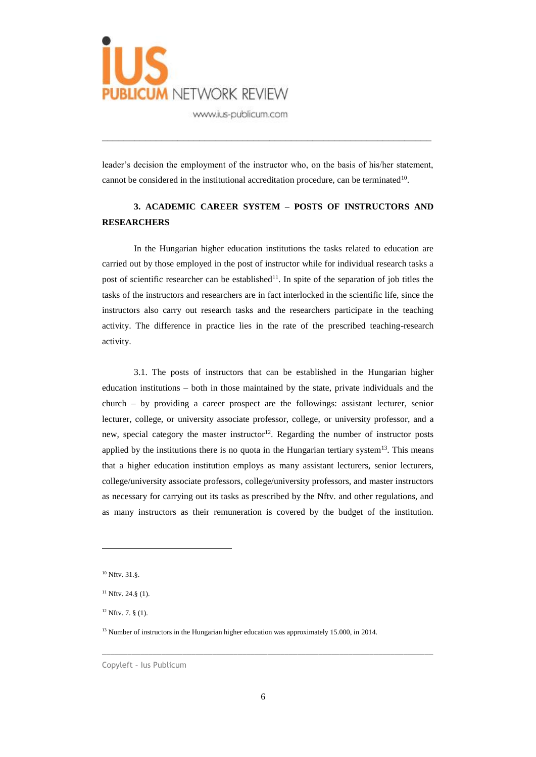

leader's decision the employment of the instructor who, on the basis of his/her statement, cannot be considered in the institutional accreditation procedure, can be terminated<sup>10</sup>.

\_\_\_\_\_\_\_\_\_\_\_\_\_\_\_\_\_\_\_\_\_\_\_\_\_\_\_\_\_\_\_\_\_\_\_\_\_\_\_\_\_\_\_\_\_\_\_\_\_\_\_\_\_\_\_\_\_\_\_\_\_

## **3. ACADEMIC CAREER SYSTEM – POSTS OF INSTRUCTORS AND RESEARCHERS**

In the Hungarian higher education institutions the tasks related to education are carried out by those employed in the post of instructor while for individual research tasks a post of scientific researcher can be established<sup>11</sup>. In spite of the separation of job titles the tasks of the instructors and researchers are in fact interlocked in the scientific life, since the instructors also carry out research tasks and the researchers participate in the teaching activity. The difference in practice lies in the rate of the prescribed teaching-research activity.

3.1. The posts of instructors that can be established in the Hungarian higher education institutions – both in those maintained by the state, private individuals and the church – by providing a career prospect are the followings: assistant lecturer, senior lecturer, college, or university associate professor, college, or university professor, and a new, special category the master instructor<sup>12</sup>. Regarding the number of instructor posts applied by the institutions there is no quota in the Hungarian tertiary system $13$ . This means that a higher education institution employs as many assistant lecturers, senior lecturers, college/university associate professors, college/university professors, and master instructors as necessary for carrying out its tasks as prescribed by the Nftv. and other regulations, and as many instructors as their remuneration is covered by the budget of the institution.

 $\overline{a}$ 

<sup>10</sup> Nftv. 31.§.

 $11$  Nftv. 24.8 (1).

 $12$  Nftv. 7. § (1).

<sup>&</sup>lt;sup>13</sup> Number of instructors in the Hungarian higher education was approximately 15.000, in 2014.

Copyleft – Ius Publicum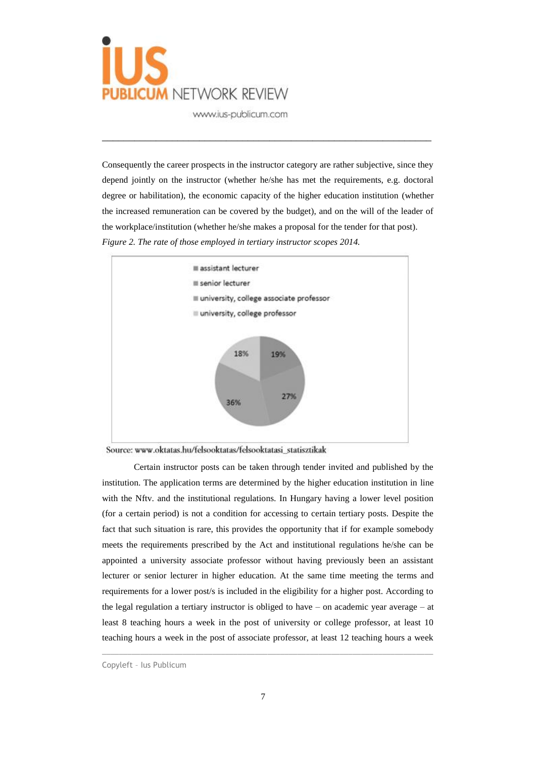

Consequently the career prospects in the instructor category are rather subjective, since they depend jointly on the instructor (whether he/she has met the requirements, e.g. doctoral degree or habilitation), the economic capacity of the higher education institution (whether the increased remuneration can be covered by the budget), and on the will of the leader of the workplace/institution (whether he/she makes a proposal for the tender for that post). *Figure 2. The rate of those employed in tertiary instructor scopes 2014.*

\_\_\_\_\_\_\_\_\_\_\_\_\_\_\_\_\_\_\_\_\_\_\_\_\_\_\_\_\_\_\_\_\_\_\_\_\_\_\_\_\_\_\_\_\_\_\_\_\_\_\_\_\_\_\_\_\_\_\_\_\_





Certain instructor posts can be taken through tender invited and published by the institution. The application terms are determined by the higher education institution in line with the Nftv. and the institutional regulations. In Hungary having a lower level position (for a certain period) is not a condition for accessing to certain tertiary posts. Despite the fact that such situation is rare, this provides the opportunity that if for example somebody meets the requirements prescribed by the Act and institutional regulations he/she can be appointed a university associate professor without having previously been an assistant lecturer or senior lecturer in higher education. At the same time meeting the terms and requirements for a lower post/s is included in the eligibility for a higher post. According to the legal regulation a tertiary instructor is obliged to have – on academic year average – at least 8 teaching hours a week in the post of university or college professor, at least 10 teaching hours a week in the post of associate professor, at least 12 teaching hours a week

Copyleft – Ius Publicum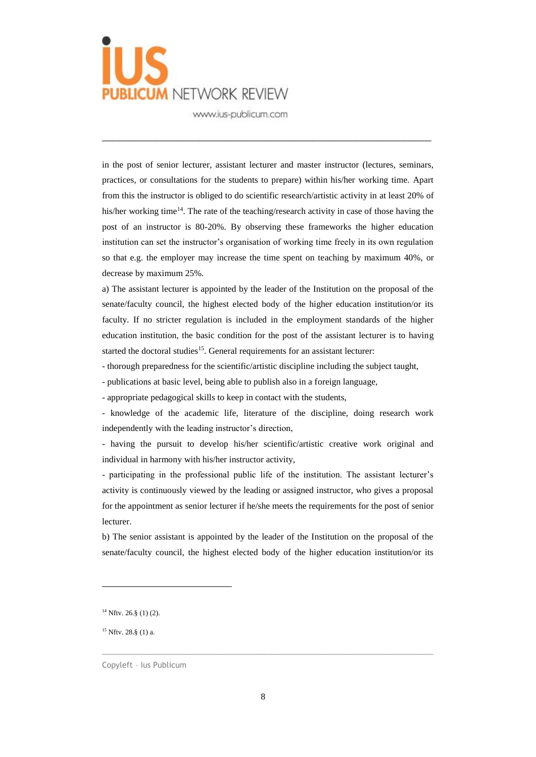

in the post of senior lecturer, assistant lecturer and master instructor (lectures, seminars, practices, or consultations for the students to prepare) within his/her working time. Apart from this the instructor is obliged to do scientific research/artistic activity in at least 20% of his/her working time<sup>14</sup>. The rate of the teaching/research activity in case of those having the post of an instructor is 80-20%. By observing these frameworks the higher education institution can set the instructor's organisation of working time freely in its own regulation so that e.g. the employer may increase the time spent on teaching by maximum 40%, or decrease by maximum 25%.

\_\_\_\_\_\_\_\_\_\_\_\_\_\_\_\_\_\_\_\_\_\_\_\_\_\_\_\_\_\_\_\_\_\_\_\_\_\_\_\_\_\_\_\_\_\_\_\_\_\_\_\_\_\_\_\_\_\_\_\_\_

a) The assistant lecturer is appointed by the leader of the Institution on the proposal of the senate/faculty council, the highest elected body of the higher education institution/or its faculty. If no stricter regulation is included in the employment standards of the higher education institution, the basic condition for the post of the assistant lecturer is to having started the doctoral studies<sup>15</sup>. General requirements for an assistant lecturer:

- thorough preparedness for the scientific/artistic discipline including the subject taught,

- publications at basic level, being able to publish also in a foreign language,

- appropriate pedagogical skills to keep in contact with the students,

- knowledge of the academic life, literature of the discipline, doing research work independently with the leading instructor's direction,

- having the pursuit to develop his/her scientific/artistic creative work original and individual in harmony with his/her instructor activity,

- participating in the professional public life of the institution. The assistant lecturer's activity is continuously viewed by the leading or assigned instructor, who gives a proposal for the appointment as senior lecturer if he/she meets the requirements for the post of senior lecturer.

b) The senior assistant is appointed by the leader of the Institution on the proposal of the senate/faculty council, the highest elected body of the higher education institution/or its

 $\overline{a}$ 

<sup>15</sup> Nftv. 28.§ (1) a.

 $14$  Nftv. 26.§ (1) (2).

Copyleft – Ius Publicum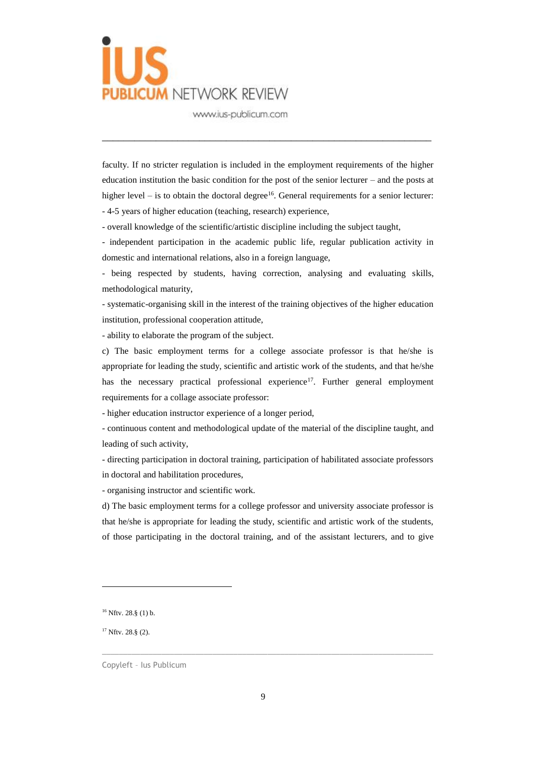

faculty. If no stricter regulation is included in the employment requirements of the higher education institution the basic condition for the post of the senior lecturer – and the posts at higher level  $-$  is to obtain the doctoral degree<sup>16</sup>. General requirements for a senior lecturer: - 4-5 years of higher education (teaching, research) experience,

\_\_\_\_\_\_\_\_\_\_\_\_\_\_\_\_\_\_\_\_\_\_\_\_\_\_\_\_\_\_\_\_\_\_\_\_\_\_\_\_\_\_\_\_\_\_\_\_\_\_\_\_\_\_\_\_\_\_\_\_\_

- overall knowledge of the scientific/artistic discipline including the subject taught,

- independent participation in the academic public life, regular publication activity in domestic and international relations, also in a foreign language,

- being respected by students, having correction, analysing and evaluating skills, methodological maturity,

- systematic-organising skill in the interest of the training objectives of the higher education institution, professional cooperation attitude,

- ability to elaborate the program of the subject.

c) The basic employment terms for a college associate professor is that he/she is appropriate for leading the study, scientific and artistic work of the students, and that he/she has the necessary practical professional experience<sup>17</sup>. Further general employment requirements for a collage associate professor:

- higher education instructor experience of a longer period,

- continuous content and methodological update of the material of the discipline taught, and leading of such activity,

- directing participation in doctoral training, participation of habilitated associate professors in doctoral and habilitation procedures,

- organising instructor and scientific work.

d) The basic employment terms for a college professor and university associate professor is that he/she is appropriate for leading the study, scientific and artistic work of the students, of those participating in the doctoral training, and of the assistant lecturers, and to give

 $\overline{a}$ 

 $17$  Nftv. 28.§ (2).

 $16$  Nftv. 28.§ (1) b.

Copyleft – Ius Publicum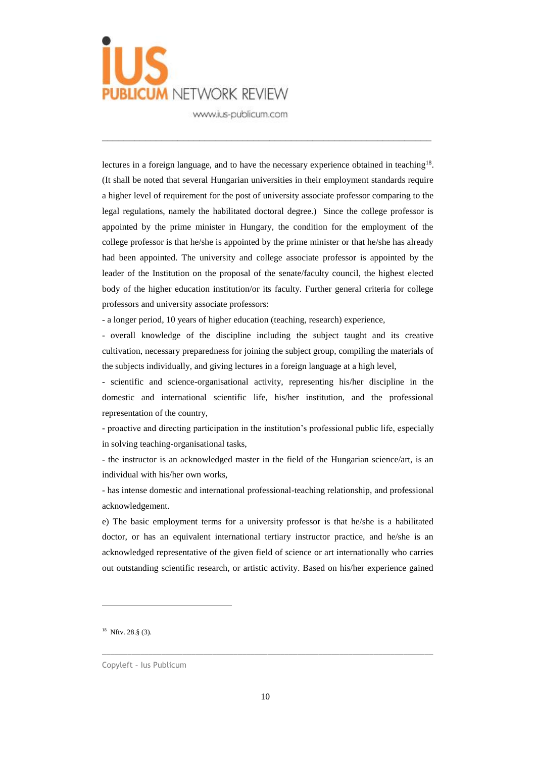

lectures in a foreign language, and to have the necessary experience obtained in teaching<sup>18</sup>. (It shall be noted that several Hungarian universities in their employment standards require a higher level of requirement for the post of university associate professor comparing to the legal regulations, namely the habilitated doctoral degree.) Since the college professor is appointed by the prime minister in Hungary, the condition for the employment of the college professor is that he/she is appointed by the prime minister or that he/she has already had been appointed. The university and college associate professor is appointed by the leader of the Institution on the proposal of the senate/faculty council, the highest elected body of the higher education institution/or its faculty. Further general criteria for college professors and university associate professors:

\_\_\_\_\_\_\_\_\_\_\_\_\_\_\_\_\_\_\_\_\_\_\_\_\_\_\_\_\_\_\_\_\_\_\_\_\_\_\_\_\_\_\_\_\_\_\_\_\_\_\_\_\_\_\_\_\_\_\_\_\_

- a longer period, 10 years of higher education (teaching, research) experience,

- overall knowledge of the discipline including the subject taught and its creative cultivation, necessary preparedness for joining the subject group, compiling the materials of the subjects individually, and giving lectures in a foreign language at a high level,

- scientific and science-organisational activity, representing his/her discipline in the domestic and international scientific life, his/her institution, and the professional representation of the country,

- proactive and directing participation in the institution's professional public life, especially in solving teaching-organisational tasks,

- the instructor is an acknowledged master in the field of the Hungarian science/art, is an individual with his/her own works,

- has intense domestic and international professional-teaching relationship, and professional acknowledgement.

e) The basic employment terms for a university professor is that he/she is a habilitated doctor, or has an equivalent international tertiary instructor practice, and he/she is an acknowledged representative of the given field of science or art internationally who carries out outstanding scientific research, or artistic activity. Based on his/her experience gained

 $\overline{a}$ 

<sup>18</sup> Nftv. 28.§ (3).

Copyleft – Ius Publicum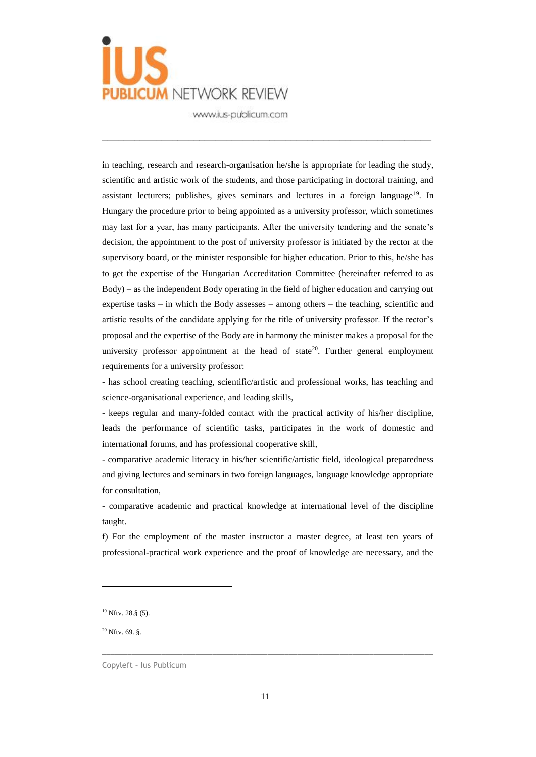

in teaching, research and research-organisation he/she is appropriate for leading the study, scientific and artistic work of the students, and those participating in doctoral training, and assistant lecturers; publishes, gives seminars and lectures in a foreign language<sup>19</sup>. In Hungary the procedure prior to being appointed as a university professor, which sometimes may last for a year, has many participants. After the university tendering and the senate's decision, the appointment to the post of university professor is initiated by the rector at the supervisory board, or the minister responsible for higher education. Prior to this, he/she has to get the expertise of the Hungarian Accreditation Committee (hereinafter referred to as Body) – as the independent Body operating in the field of higher education and carrying out expertise tasks – in which the Body assesses – among others – the teaching, scientific and artistic results of the candidate applying for the title of university professor. If the rector's proposal and the expertise of the Body are in harmony the minister makes a proposal for the university professor appointment at the head of state<sup>20</sup>. Further general employment requirements for a university professor:

\_\_\_\_\_\_\_\_\_\_\_\_\_\_\_\_\_\_\_\_\_\_\_\_\_\_\_\_\_\_\_\_\_\_\_\_\_\_\_\_\_\_\_\_\_\_\_\_\_\_\_\_\_\_\_\_\_\_\_\_\_

- has school creating teaching, scientific/artistic and professional works, has teaching and science-organisational experience, and leading skills,

- keeps regular and many-folded contact with the practical activity of his/her discipline, leads the performance of scientific tasks, participates in the work of domestic and international forums, and has professional cooperative skill,

- comparative academic literacy in his/her scientific/artistic field, ideological preparedness and giving lectures and seminars in two foreign languages, language knowledge appropriate for consultation,

- comparative academic and practical knowledge at international level of the discipline taught.

f) For the employment of the master instructor a master degree, at least ten years of professional-practical work experience and the proof of knowledge are necessary, and the

 $20$  Nftv. 69.  $\delta$ .

 $\overline{a}$ 

<sup>19</sup> Nftv. 28.§ (5).

Copyleft – Ius Publicum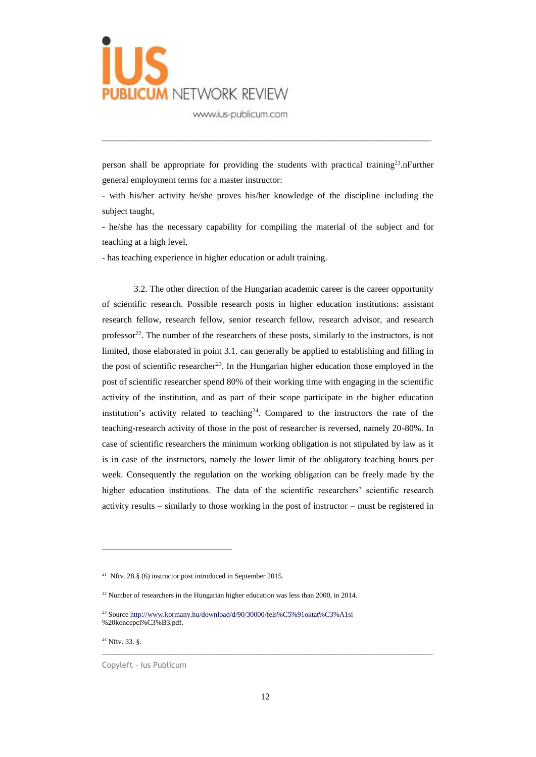

person shall be appropriate for providing the students with practical training<sup>21</sup>.nFurther general employment terms for a master instructor:

\_\_\_\_\_\_\_\_\_\_\_\_\_\_\_\_\_\_\_\_\_\_\_\_\_\_\_\_\_\_\_\_\_\_\_\_\_\_\_\_\_\_\_\_\_\_\_\_\_\_\_\_\_\_\_\_\_\_\_\_\_

- with his/her activity he/she proves his/her knowledge of the discipline including the subject taught,

- he/she has the necessary capability for compiling the material of the subject and for teaching at a high level,

- has teaching experience in higher education or adult training.

3.2. The other direction of the Hungarian academic career is the career opportunity of scientific research. Possible research posts in higher education institutions: assistant research fellow, research fellow, senior research fellow, research advisor, and research professor $^{22}$ . The number of the researchers of these posts, similarly to the instructors, is not limited, those elaborated in point 3.1. can generally be applied to establishing and filling in the post of scientific researcher<sup>23</sup>. In the Hungarian higher education those employed in the post of scientific researcher spend 80% of their working time with engaging in the scientific activity of the institution, and as part of their scope participate in the higher education institution's activity related to teaching<sup>24</sup>. Compared to the instructors the rate of the teaching-research activity of those in the post of researcher is reversed, namely 20-80%. In case of scientific researchers the minimum working obligation is not stipulated by law as it is in case of the instructors, namely the lower limit of the obligatory teaching hours per week. Consequently the regulation on the working obligation can be freely made by the higher education institutions. The data of the scientific researchers' scientific research activity results – similarly to those working in the post of instructor – must be registered in

 $\overline{a}$ 

<sup>&</sup>lt;sup>21</sup> Nftv. 28. $\S$  (6) instructor post introduced in September 2015.

<sup>&</sup>lt;sup>22</sup> Number of researchers in the Hungarian higher education was less than 2000, in 2014.

<sup>&</sup>lt;sup>23</sup> Sourc[e http://www.kormany.hu/download/d/90/30000/fels%C5%91oktat%C3%A1si](http://www.kormany.hu/download/d/90/30000/fels%C5%91oktat%C3%A1si) %20koncepci%C3%B3.pdf.

<sup>24</sup> Nftv. 33. §.

Copyleft – Ius Publicum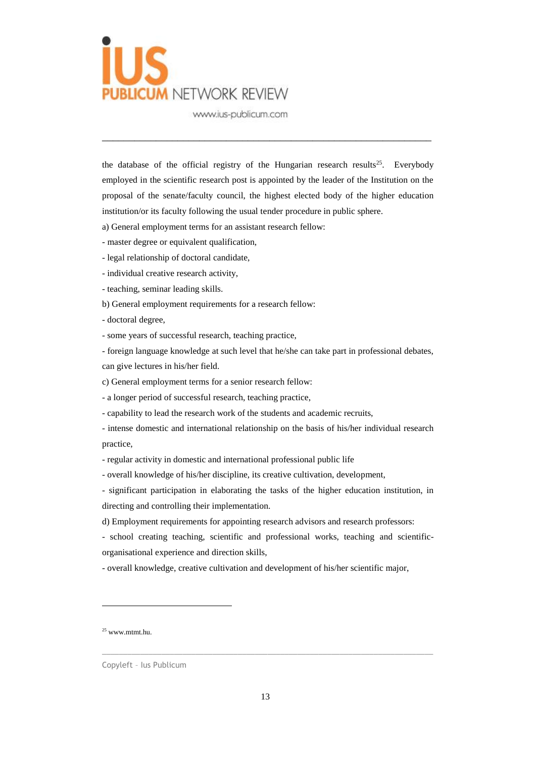

the database of the official registry of the Hungarian research results<sup>25</sup>. Everybody employed in the scientific research post is appointed by the leader of the Institution on the proposal of the senate/faculty council, the highest elected body of the higher education institution/or its faculty following the usual tender procedure in public sphere.

\_\_\_\_\_\_\_\_\_\_\_\_\_\_\_\_\_\_\_\_\_\_\_\_\_\_\_\_\_\_\_\_\_\_\_\_\_\_\_\_\_\_\_\_\_\_\_\_\_\_\_\_\_\_\_\_\_\_\_\_\_

- a) General employment terms for an assistant research fellow:
- master degree or equivalent qualification,
- legal relationship of doctoral candidate,
- individual creative research activity,
- teaching, seminar leading skills.
- b) General employment requirements for a research fellow:
- doctoral degree,
- some years of successful research, teaching practice,

- foreign language knowledge at such level that he/she can take part in professional debates, can give lectures in his/her field.

- c) General employment terms for a senior research fellow:
- a longer period of successful research, teaching practice,
- capability to lead the research work of the students and academic recruits,
- intense domestic and international relationship on the basis of his/her individual research practice,
- regular activity in domestic and international professional public life
- overall knowledge of his/her discipline, its creative cultivation, development,

- significant participation in elaborating the tasks of the higher education institution, in directing and controlling their implementation.

- d) Employment requirements for appointing research advisors and research professors:
- school creating teaching, scientific and professional works, teaching and scientificorganisational experience and direction skills,
- overall knowledge, creative cultivation and development of his/her scientific major,

 $\overline{a}$ 

<sup>25</sup> www.mtmt.hu.

Copyleft – Ius Publicum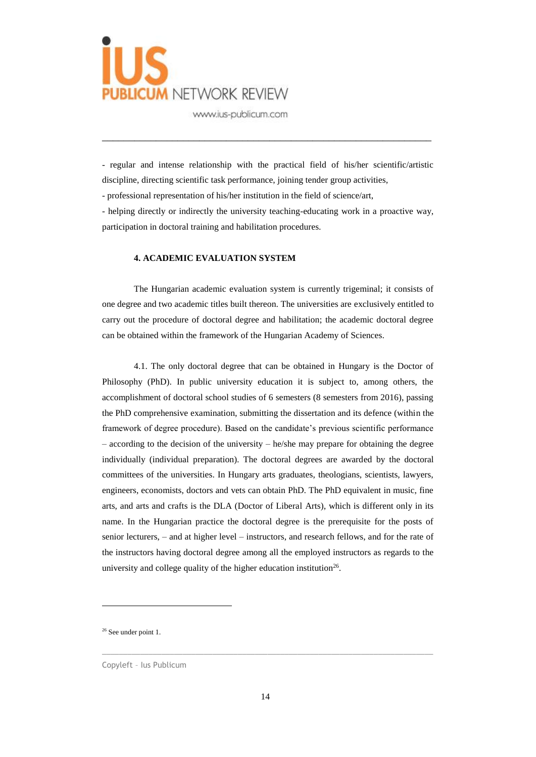

- regular and intense relationship with the practical field of his/her scientific/artistic discipline, directing scientific task performance, joining tender group activities,

\_\_\_\_\_\_\_\_\_\_\_\_\_\_\_\_\_\_\_\_\_\_\_\_\_\_\_\_\_\_\_\_\_\_\_\_\_\_\_\_\_\_\_\_\_\_\_\_\_\_\_\_\_\_\_\_\_\_\_\_\_

- professional representation of his/her institution in the field of science/art,

- helping directly or indirectly the university teaching-educating work in a proactive way, participation in doctoral training and habilitation procedures.

#### **4. ACADEMIC EVALUATION SYSTEM**

The Hungarian academic evaluation system is currently trigeminal; it consists of one degree and two academic titles built thereon. The universities are exclusively entitled to carry out the procedure of doctoral degree and habilitation; the academic doctoral degree can be obtained within the framework of the Hungarian Academy of Sciences.

4.1. The only doctoral degree that can be obtained in Hungary is the Doctor of Philosophy (PhD). In public university education it is subject to, among others, the accomplishment of doctoral school studies of 6 semesters (8 semesters from 2016), passing the PhD comprehensive examination, submitting the dissertation and its defence (within the framework of degree procedure). Based on the candidate's previous scientific performance  $-$  according to the decision of the university  $-$  he/she may prepare for obtaining the degree individually (individual preparation). The doctoral degrees are awarded by the doctoral committees of the universities. In Hungary arts graduates, theologians, scientists, lawyers, engineers, economists, doctors and vets can obtain PhD. The PhD equivalent in music, fine arts, and arts and crafts is the DLA (Doctor of Liberal Arts), which is different only in its name. In the Hungarian practice the doctoral degree is the prerequisite for the posts of senior lecturers, – and at higher level – instructors, and research fellows, and for the rate of the instructors having doctoral degree among all the employed instructors as regards to the university and college quality of the higher education institution<sup>26</sup>.

 $\overline{a}$ 

<sup>&</sup>lt;sup>26</sup> See under point 1.

Copyleft – Ius Publicum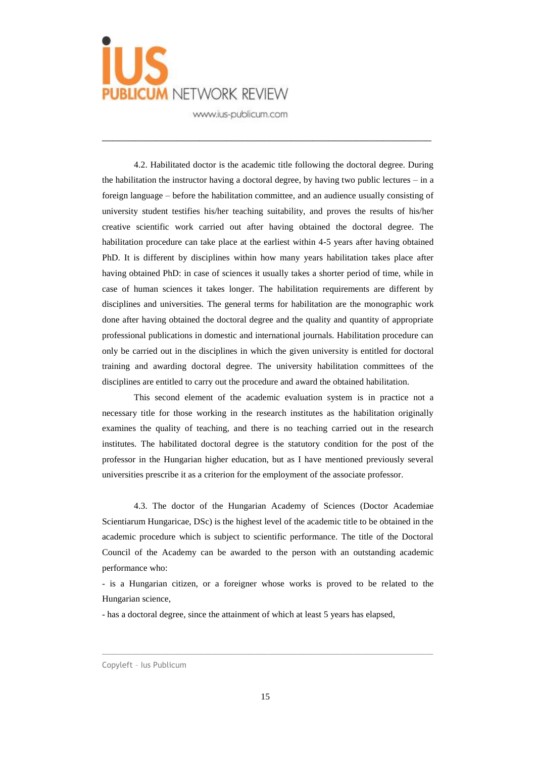

4.2. Habilitated doctor is the academic title following the doctoral degree. During the habilitation the instructor having a doctoral degree, by having two public lectures – in a foreign language – before the habilitation committee, and an audience usually consisting of university student testifies his/her teaching suitability, and proves the results of his/her creative scientific work carried out after having obtained the doctoral degree. The habilitation procedure can take place at the earliest within 4-5 years after having obtained PhD. It is different by disciplines within how many years habilitation takes place after having obtained PhD: in case of sciences it usually takes a shorter period of time, while in case of human sciences it takes longer. The habilitation requirements are different by disciplines and universities. The general terms for habilitation are the monographic work done after having obtained the doctoral degree and the quality and quantity of appropriate professional publications in domestic and international journals. Habilitation procedure can only be carried out in the disciplines in which the given university is entitled for doctoral training and awarding doctoral degree. The university habilitation committees of the disciplines are entitled to carry out the procedure and award the obtained habilitation.

\_\_\_\_\_\_\_\_\_\_\_\_\_\_\_\_\_\_\_\_\_\_\_\_\_\_\_\_\_\_\_\_\_\_\_\_\_\_\_\_\_\_\_\_\_\_\_\_\_\_\_\_\_\_\_\_\_\_\_\_\_

This second element of the academic evaluation system is in practice not a necessary title for those working in the research institutes as the habilitation originally examines the quality of teaching, and there is no teaching carried out in the research institutes. The habilitated doctoral degree is the statutory condition for the post of the professor in the Hungarian higher education, but as I have mentioned previously several universities prescribe it as a criterion for the employment of the associate professor.

4.3. The doctor of the Hungarian Academy of Sciences (Doctor Academiae Scientiarum Hungaricae, DSc) is the highest level of the academic title to be obtained in the academic procedure which is subject to scientific performance. The title of the Doctoral Council of the Academy can be awarded to the person with an outstanding academic performance who:

- is a Hungarian citizen, or a foreigner whose works is proved to be related to the Hungarian science,

- has a doctoral degree, since the attainment of which at least 5 years has elapsed,

Copyleft – Ius Publicum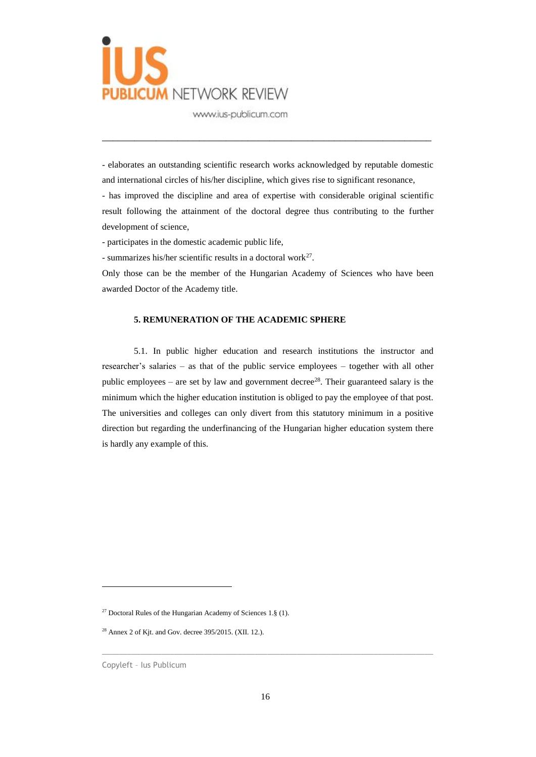

- elaborates an outstanding scientific research works acknowledged by reputable domestic and international circles of his/her discipline, which gives rise to significant resonance,

\_\_\_\_\_\_\_\_\_\_\_\_\_\_\_\_\_\_\_\_\_\_\_\_\_\_\_\_\_\_\_\_\_\_\_\_\_\_\_\_\_\_\_\_\_\_\_\_\_\_\_\_\_\_\_\_\_\_\_\_\_

- has improved the discipline and area of expertise with considerable original scientific result following the attainment of the doctoral degree thus contributing to the further development of science,

- participates in the domestic academic public life,

- summarizes his/her scientific results in a doctoral work $27$ .

Only those can be the member of the Hungarian Academy of Sciences who have been awarded Doctor of the Academy title.

### **5. REMUNERATION OF THE ACADEMIC SPHERE**

5.1. In public higher education and research institutions the instructor and researcher's salaries – as that of the public service employees – together with all other public employees – are set by law and government decree<sup>28</sup>. Their guaranteed salary is the minimum which the higher education institution is obliged to pay the employee of that post. The universities and colleges can only divert from this statutory minimum in a positive direction but regarding the underfinancing of the Hungarian higher education system there is hardly any example of this.

 $\overline{a}$ 

<sup>&</sup>lt;sup>27</sup> Doctoral Rules of the Hungarian Academy of Sciences 1. $\S$  (1).

<sup>28</sup> Annex 2 of Kjt. and Gov. decree 395/2015. (XII. 12.).

Copyleft – Ius Publicum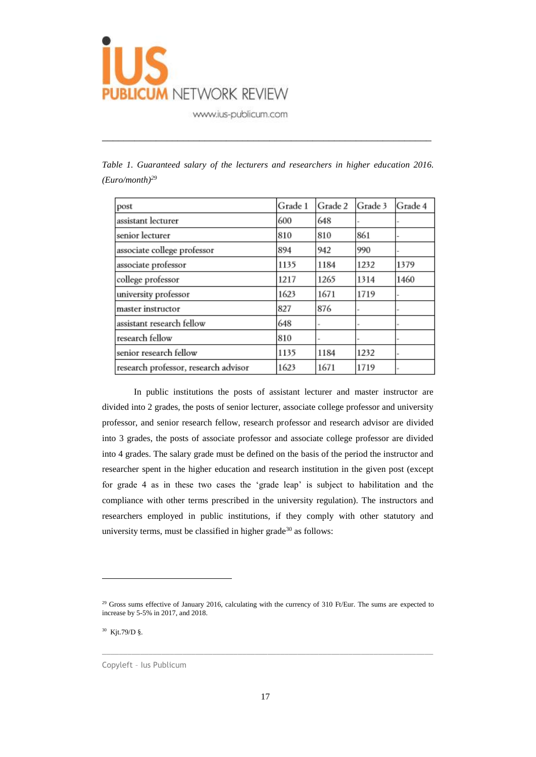

| post                                 | Grade 1 | Grade 2 | Grade 3 | Grade 4 |
|--------------------------------------|---------|---------|---------|---------|
| assistant lecturer                   | 600     | 648     |         |         |
| senior lecturer                      | 810     | 810     | 861     |         |
| associate college professor          | 894     | 942     | 990     |         |
| associate professor                  | 1135    | 1184    | 1232    | 1379    |
| college professor                    | 1217    | 1265    | 1314    | 1460    |
| university professor                 | 1623    | 1671    | 1719    |         |
| master instructor                    | 827     | 876     |         |         |
| assistant research fellow            | 648     |         |         |         |
| research fellow                      | 810     |         |         |         |
| senior research fellow               | 1135    | 1184    | 1232    |         |
| research professor, research advisor | 1623    | 1671    | 1719    |         |

|  | Table 1. Guaranteed salary of the lecturers and researchers in higher education 2016. |  |  |  |  |  |
|--|---------------------------------------------------------------------------------------|--|--|--|--|--|
|  | (Euro/month) <sup>29</sup>                                                            |  |  |  |  |  |

\_\_\_\_\_\_\_\_\_\_\_\_\_\_\_\_\_\_\_\_\_\_\_\_\_\_\_\_\_\_\_\_\_\_\_\_\_\_\_\_\_\_\_\_\_\_\_\_\_\_\_\_\_\_\_\_\_\_\_\_\_

In public institutions the posts of assistant lecturer and master instructor are divided into 2 grades, the posts of senior lecturer, associate college professor and university professor, and senior research fellow, research professor and research advisor are divided into 3 grades, the posts of associate professor and associate college professor are divided into 4 grades. The salary grade must be defined on the basis of the period the instructor and researcher spent in the higher education and research institution in the given post (except for grade 4 as in these two cases the 'grade leap' is subject to habilitation and the compliance with other terms prescribed in the university regulation). The instructors and researchers employed in public institutions, if they comply with other statutory and university terms, must be classified in higher grade<sup>30</sup> as follows:

 $\_$  ,  $\_$  ,  $\_$  ,  $\_$  ,  $\_$  ,  $\_$  ,  $\_$  ,  $\_$  ,  $\_$  ,  $\_$  ,  $\_$  ,  $\_$  ,  $\_$  ,  $\_$  ,  $\_$  ,  $\_$  ,  $\_$  ,  $\_$  ,  $\_$  ,  $\_$  ,  $\_$  ,  $\_$  ,  $\_$  ,  $\_$  ,  $\_$  ,  $\_$  ,  $\_$  ,  $\_$  ,  $\_$  ,  $\_$  ,  $\_$  ,  $\_$  ,  $\_$  ,  $\_$  ,  $\_$  ,  $\_$  ,  $\_$  ,

30 Kjt.79/D §.

 $\overline{a}$ 

Copyleft – Ius Publicum

<sup>&</sup>lt;sup>29</sup> Gross sums effective of January 2016, calculating with the currency of 310 Ft/Eur. The sums are expected to increase by 5-5% in 2017, and 2018.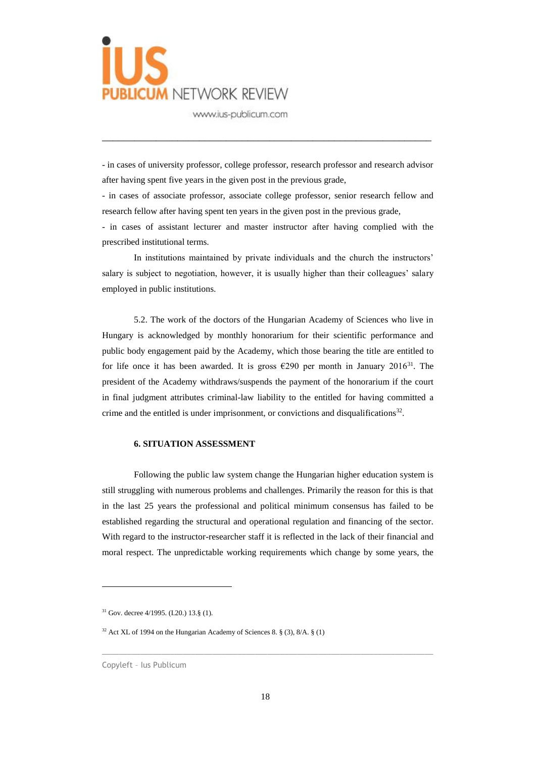

- in cases of university professor, college professor, research professor and research advisor after having spent five years in the given post in the previous grade,

\_\_\_\_\_\_\_\_\_\_\_\_\_\_\_\_\_\_\_\_\_\_\_\_\_\_\_\_\_\_\_\_\_\_\_\_\_\_\_\_\_\_\_\_\_\_\_\_\_\_\_\_\_\_\_\_\_\_\_\_\_

- in cases of associate professor, associate college professor, senior research fellow and research fellow after having spent ten years in the given post in the previous grade,

- in cases of assistant lecturer and master instructor after having complied with the prescribed institutional terms.

In institutions maintained by private individuals and the church the instructors' salary is subject to negotiation, however, it is usually higher than their colleagues' salary employed in public institutions.

5.2. The work of the doctors of the Hungarian Academy of Sciences who live in Hungary is acknowledged by monthly honorarium for their scientific performance and public body engagement paid by the Academy, which those bearing the title are entitled to for life once it has been awarded. It is gross  $\epsilon$ 290 per month in January 2016<sup>31</sup>. The president of the Academy withdraws/suspends the payment of the honorarium if the court in final judgment attributes criminal-law liability to the entitled for having committed a crime and the entitled is under imprisonment, or convictions and disqualifications<sup>32</sup>.

#### **6. SITUATION ASSESSMENT**

Following the public law system change the Hungarian higher education system is still struggling with numerous problems and challenges. Primarily the reason for this is that in the last 25 years the professional and political minimum consensus has failed to be established regarding the structural and operational regulation and financing of the sector. With regard to the instructor-researcher staff it is reflected in the lack of their financial and moral respect. The unpredictable working requirements which change by some years, the

 $\overline{a}$ 

<sup>31</sup> Gov. decree 4/1995. (I.20.) 13.§ (1).

 $32$  Act XL of 1994 on the Hungarian Academy of Sciences 8. § (3), 8/A. § (1)

Copyleft – Ius Publicum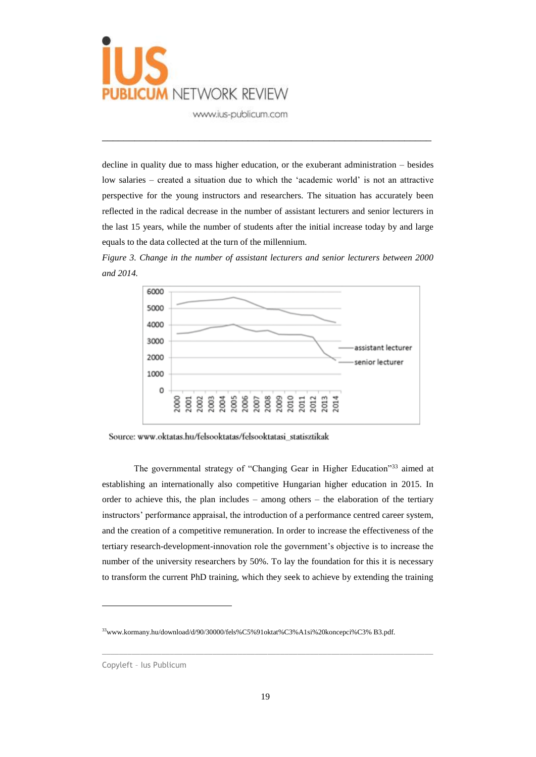

decline in quality due to mass higher education, or the exuberant administration – besides low salaries – created a situation due to which the 'academic world' is not an attractive perspective for the young instructors and researchers. The situation has accurately been reflected in the radical decrease in the number of assistant lecturers and senior lecturers in the last 15 years, while the number of students after the initial increase today by and large equals to the data collected at the turn of the millennium.

\_\_\_\_\_\_\_\_\_\_\_\_\_\_\_\_\_\_\_\_\_\_\_\_\_\_\_\_\_\_\_\_\_\_\_\_\_\_\_\_\_\_\_\_\_\_\_\_\_\_\_\_\_\_\_\_\_\_\_\_\_

*Figure 3. Change in the number of assistant lecturers and senior lecturers between 2000 and 2014.*



Source: www.oktatas.hu/felsooktatas/felsooktatasi\_statisztikak

The governmental strategy of "Changing Gear in Higher Education"<sup>33</sup> aimed at establishing an internationally also competitive Hungarian higher education in 2015. In order to achieve this, the plan includes – among others – the elaboration of the tertiary instructors' performance appraisal, the introduction of a performance centred career system, and the creation of a competitive remuneration. In order to increase the effectiveness of the tertiary research-development-innovation role the government's objective is to increase the number of the university researchers by 50%. To lay the foundation for this it is necessary to transform the current PhD training, which they seek to achieve by extending the training

 $\overline{a}$ 

<sup>33</sup>www.kormany.hu/download/d/90/30000/fels%C5%91oktat%C3%A1si%20koncepci%C3% B3.pdf.

Copyleft – Ius Publicum